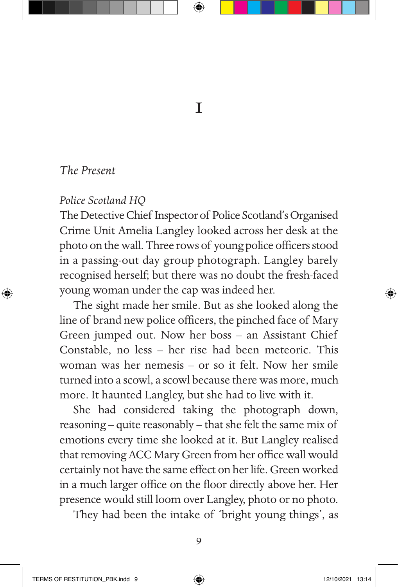## *The Present*

## *Police Scotland HQ*

The Detective Chief Inspector of Police Scotland's Organised Crime Unit Amelia Langley looked across her desk at the photo on the wall. Three rows of young police officers stood in a passing-out day group photograph. Langley barely recognised herself; but there was no doubt the fresh-faced young woman under the cap was indeed her.

The sight made her smile. But as she looked along the line of brand new police officers, the pinched face of Mary Green jumped out. Now her boss – an Assistant Chief Constable, no less – her rise had been meteoric. This woman was her nemesis – or so it felt. Now her smile turned into a scowl, a scowl because there was more, much more. It haunted Langley, but she had to live with it.

She had considered taking the photograph down, reasoning – quite reasonably – that she felt the same mix of emotions every time she looked at it. But Langley realised that removing ACC Mary Green from her office wall would certainly not have the same effect on her life. Green worked in a much larger office on the floor directly above her. Her presence would still loom over Langley, photo or no photo.

They had been the intake of 'bright young things', as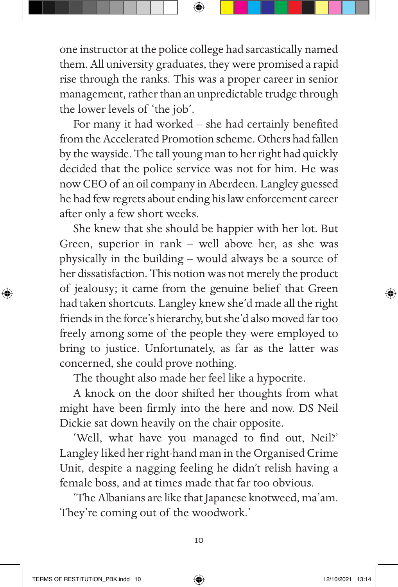one instructor at the police college had sarcastically named them. All university graduates, they were promised a rapid rise through the ranks. This was a proper career in senior management, rather than an unpredictable trudge through the lower levels of 'the job'.

For many it had worked – she had certainly benefited from the Accelerated Promotion scheme. Others had fallen by the wayside. The tall young man to her right had quickly decided that the police service was not for him. He was now CEO of an oil company in Aberdeen. Langley guessed he had few regrets about ending his law enforcement career after only a few short weeks.

She knew that she should be happier with her lot. But Green, superior in rank – well above her, as she was physically in the building – would always be a source of her dissatisfaction. This notion was not merely the product of jealousy; it came from the genuine belief that Green had taken shortcuts. Langley knew she'd made all the right friends in the force's hierarchy, but she'd also moved far too freely among some of the people they were employed to bring to justice. Unfortunately, as far as the latter was concerned, she could prove nothing.

The thought also made her feel like a hypocrite.

A knock on the door shifted her thoughts from what might have been firmly into the here and now. DS Neil Dickie sat down heavily on the chair opposite.

'Well, what have you managed to find out, Neil?' Langley liked her right-hand man in the Organised Crime Unit, despite a nagging feeling he didn't relish having a female boss, and at times made that far too obvious.

'The Albanians are like that Japanese knotweed, ma'am. They're coming out of the woodwork.'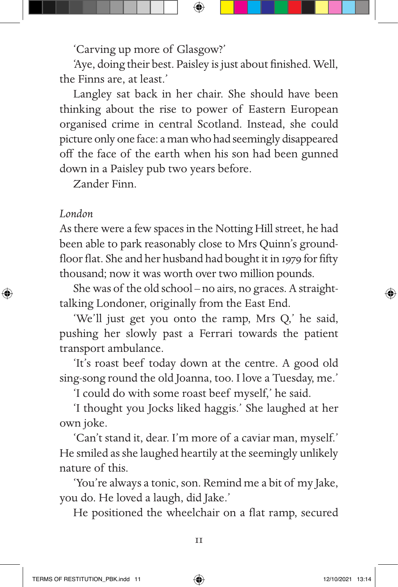'Carving up more of Glasgow?'

'Aye, doing their best. Paisley is just about finished. Well, the Finns are, at least.'

Langley sat back in her chair. She should have been thinking about the rise to power of Eastern European organised crime in central Scotland. Instead, she could picture only one face: a man who had seemingly disappeared off the face of the earth when his son had been gunned down in a Paisley pub two years before.

Zander Finn.

## *London*

As there were a few spaces in the Notting Hill street, he had been able to park reasonably close to Mrs Quinn's groundfloor flat. She and her husband had bought it in 1979 for fifty thousand; now it was worth over two million pounds.

She was of the old school – no airs, no graces. A straighttalking Londoner, originally from the East End.

'We'll just get you onto the ramp, Mrs Q,' he said, pushing her slowly past a Ferrari towards the patient transport ambulance.

'It's roast beef today down at the centre. A good old sing-song round the old Joanna, too. I love a Tuesday, me.'

'I could do with some roast beef myself,' he said.

'I thought you Jocks liked haggis.' She laughed at her own joke.

'Can't stand it, dear. I'm more of a caviar man, myself.' He smiled as she laughed heartily at the seemingly unlikely nature of this.

'You're always a tonic, son. Remind me a bit of my Jake, you do. He loved a laugh, did Jake.'

He positioned the wheelchair on a flat ramp, secured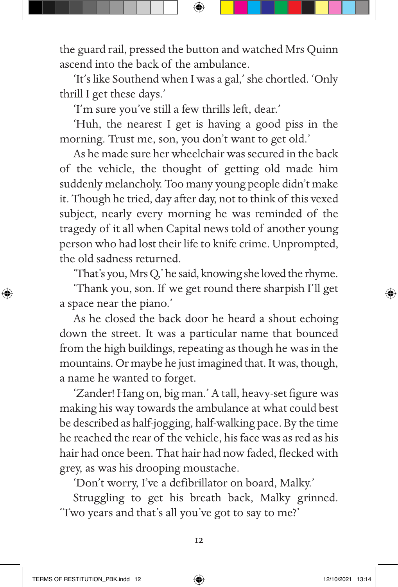the guard rail, pressed the button and watched Mrs Quinn ascend into the back of the ambulance.

'It's like Southend when I was a gal,' she chortled. 'Only thrill I get these days.'

'I'm sure you've still a few thrills left, dear.'

'Huh, the nearest I get is having a good piss in the morning. Trust me, son, you don't want to get old.'

As he made sure her wheelchair was secured in the back of the vehicle, the thought of getting old made him suddenly melancholy. Too many young people didn't make it. Though he tried, day after day, not to think of this vexed subject, nearly every morning he was reminded of the tragedy of it all when Capital news told of another young person who had lost their life to knife crime. Unprompted, the old sadness returned.

'That's you, Mrs Q,' he said, knowing she loved the rhyme.

'Thank you, son. If we get round there sharpish I'll get a space near the piano.'

As he closed the back door he heard a shout echoing down the street. It was a particular name that bounced from the high buildings, repeating as though he was in the mountains. Or maybe he just imagined that. It was, though, a name he wanted to forget.

'Zander! Hang on, big man.' A tall, heavy-set figure was making his way towards the ambulance at what could best be described as half-jogging, half-walking pace. By the time he reached the rear of the vehicle, his face was as red as his hair had once been. That hair had now faded, flecked with grey, as was his drooping moustache.

'Don't worry, I've a defibrillator on board, Malky.'

Struggling to get his breath back, Malky grinned. 'Two years and that's all you've got to say to me?'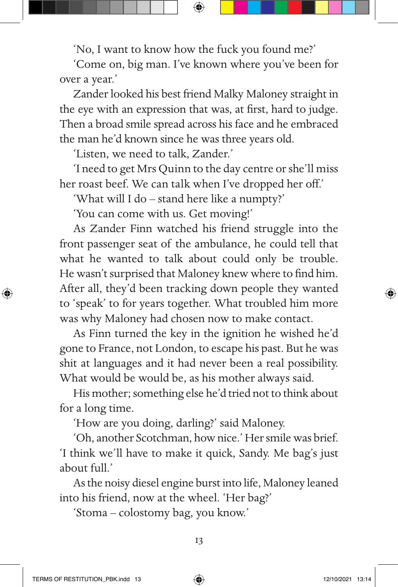'No, I want to know how the fuck you found me?'

'Come on, big man. I've known where you've been for over a year.'

Zander looked his best friend Malky Maloney straight in the eye with an expression that was, at first, hard to judge. Then a broad smile spread across his face and he embraced the man he'd known since he was three years old.

'Listen, we need to talk, Zander.'

'I need to get Mrs Quinn to the day centre or she'll miss her roast beef. We can talk when I've dropped her off.'

'What will I do – stand here like a numpty?'

'You can come with us. Get moving!'

As Zander Finn watched his friend struggle into the front passenger seat of the ambulance, he could tell that what he wanted to talk about could only be trouble. He wasn't surprised that Maloney knew where to find him. After all, they'd been tracking down people they wanted to 'speak' to for years together. What troubled him more was why Maloney had chosen now to make contact.

As Finn turned the key in the ignition he wished he'd gone to France, not London, to escape his past. But he was shit at languages and it had never been a real possibility. What would be would be, as his mother always said.

His mother; something else he'd tried not to think about for a long time.

'How are you doing, darling?' said Maloney.

'Oh, another Scotchman, how nice.' Her smile was brief. 'I think we'll have to make it quick, Sandy. Me bag's just about full.'

As the noisy diesel engine burst into life, Maloney leaned into his friend, now at the wheel. 'Her bag?'

'Stoma – colostomy bag, you know.'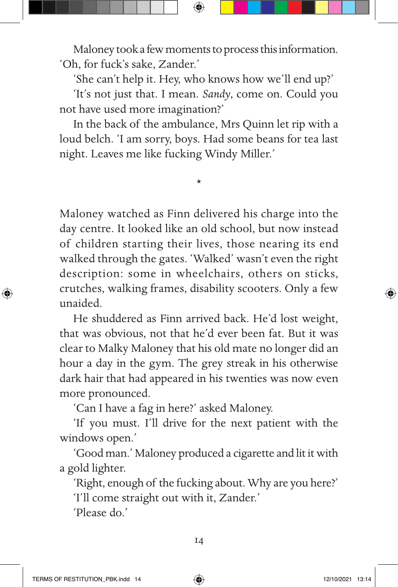Maloney took a few moments to process this information. 'Oh, for fuck's sake, Zander.'

'She can't help it. Hey, who knows how we'll end up?'

'It's not just that. I mean. *Sandy*, come on. Could you not have used more imagination?'

In the back of the ambulance, Mrs Quinn let rip with a loud belch. 'I am sorry, boys. Had some beans for tea last night. Leaves me like fucking Windy Miller.'

\*

Maloney watched as Finn delivered his charge into the day centre. It looked like an old school, but now instead of children starting their lives, those nearing its end walked through the gates. 'Walked' wasn't even the right description: some in wheelchairs, others on sticks, crutches, walking frames, disability scooters. Only a few unaided.

He shuddered as Finn arrived back. He'd lost weight, that was obvious, not that he'd ever been fat. But it was clear to Malky Maloney that his old mate no longer did an hour a day in the gym. The grey streak in his otherwise dark hair that had appeared in his twenties was now even more pronounced.

'Can I have a fag in here?' asked Maloney.

'If you must. I'll drive for the next patient with the windows open.'

'Good man.' Maloney produced a cigarette and lit it with a gold lighter.

'Right, enough of the fucking about. Why are you here?' 'I'll come straight out with it, Zander.'

'Please do.'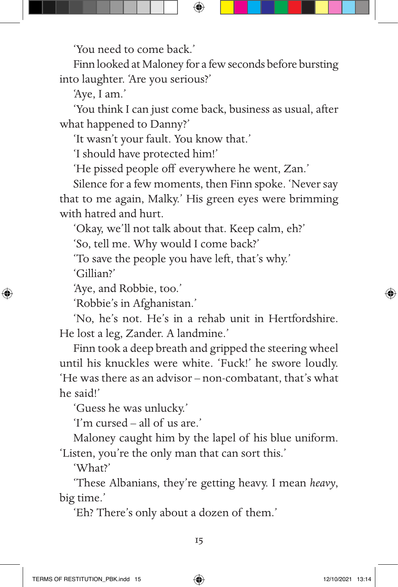'You need to come back.'

Finn looked at Maloney for a few seconds before bursting into laughter. 'Are you serious?'

'Aye, I am.'

'You think I can just come back, business as usual, after what happened to Danny?'

'It wasn't your fault. You know that.'

'I should have protected him!'

'He pissed people off everywhere he went, Zan.'

Silence for a few moments, then Finn spoke. 'Never say that to me again, Malky.' His green eyes were brimming with hatred and hurt.

'Okay, we'll not talk about that. Keep calm, eh?'

'So, tell me. Why would I come back?'

'To save the people you have left, that's why.'

'Gillian?'

'Aye, and Robbie, too.'

'Robbie's in Afghanistan.'

'No, he's not. He's in a rehab unit in Hertfordshire. He lost a leg, Zander. A landmine.'

Finn took a deep breath and gripped the steering wheel until his knuckles were white. 'Fuck!' he swore loudly. 'He was there as an advisor – non-combatant, that's what he said!'

'Guess he was unlucky.'

'I'm cursed – all of us are.'

Maloney caught him by the lapel of his blue uniform. 'Listen, you're the only man that can sort this.'

'What?'

'These Albanians, they're getting heavy. I mean *heavy*, big time.'

'Eh? There's only about a dozen of them.'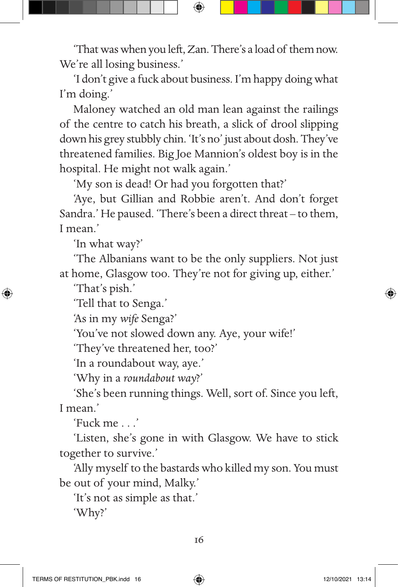'That was when you left, Zan. There's a load of them now. We're all losing business.'

'I don't give a fuck about business. I'm happy doing what I'm doing.'

Maloney watched an old man lean against the railings of the centre to catch his breath, a slick of drool slipping down his grey stubbly chin. 'It's no' just about dosh. They've threatened families. Big Joe Mannion's oldest boy is in the hospital. He might not walk again.'

'My son is dead! Or had you forgotten that?'

'Aye, but Gillian and Robbie aren't. And don't forget Sandra.' He paused. 'There's been a direct threat – to them, I mean.'

'In what way?'

'The Albanians want to be the only suppliers. Not just at home, Glasgow too. They're not for giving up, either.'

'That's pish.'

'Tell that to Senga.'

'As in my *wife* Senga?'

'You've not slowed down any. Aye, your wife!'

'They've threatened her, too?'

'In a roundabout way, aye.'

'Why in a *roundabout way*?'

'She's been running things. Well, sort of. Since you left, I mean.'

'Fuck me . . .'

'Listen, she's gone in with Glasgow. We have to stick together to survive.'

'Ally myself to the bastards who killed my son. You must be out of your mind, Malky.'

'It's not as simple as that.'

'Why?'